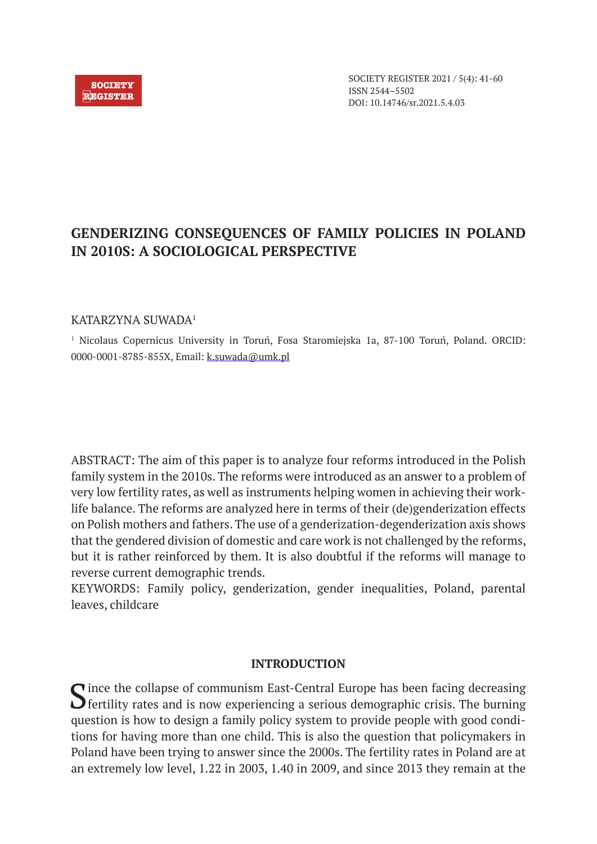

SOCIETY REGISTER 2021 / 5(4): 41-60 ISSN 2544–5502 DOI: 10.14746/sr.2021.5.4.03

# **GENDERIZING CONSEQUENCES OF FAMILY POLICIES IN POLAND IN 2010S: A SOCIOLOGICAL PERSPECTIVE**

## KATARZYNA SUWADA1

<sup>1</sup> Nicolaus Copernicus University in Toruń, Fosa Staromiejska 1a, 87-100 Toruń, Poland. ORCID: 0000-0001-8785-855X, Email: k.suwada@umk.pl

ABSTRACT: The aim of this paper is to analyze four reforms introduced in the Polish family system in the 2010s. The reforms were introduced as an answer to a problem of very low fertility rates, as well as instruments helping women in achieving their worklife balance. The reforms are analyzed here in terms of their (de)genderization effects on Polish mothers and fathers. The use of a genderization-degenderization axis shows that the gendered division of domestic and care work is not challenged by the reforms, but it is rather reinforced by them. It is also doubtful if the reforms will manage to reverse current demographic trends.

KEYWORDS: Family policy, genderization, gender inequalities, Poland, parental leaves, childcare

### **INTRODUCTION**

 $\bigcap$  ince the collapse of communism East-Central Europe has been facing decreasing  $\bigcup$  fertility rates and is now experiencing a serious demographic crisis. The burning question is how to design a family policy system to provide people with good conditions for having more than one child. This is also the question that policymakers in Poland have been trying to answer since the 2000s. The fertility rates in Poland are at an extremely low level, 1.22 in 2003, 1.40 in 2009, and since 2013 they remain at the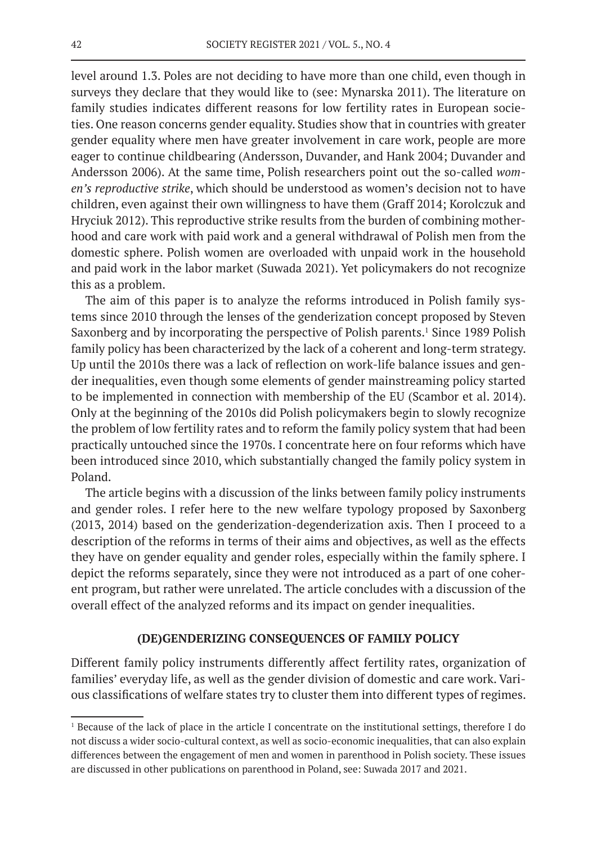level around 1.3. Poles are not deciding to have more than one child, even though in surveys they declare that they would like to (see: Mynarska 2011). The literature on family studies indicates different reasons for low fertility rates in European societies. One reason concerns gender equality. Studies show that in countries with greater gender equality where men have greater involvement in care work, people are more eager to continue childbearing (Andersson, Duvander, and Hank 2004; Duvander and Andersson 2006). At the same time, Polish researchers point out the so-called *women's reproductive strike*, which should be understood as women's decision not to have children, even against their own willingness to have them (Graff 2014; Korolczuk and Hryciuk 2012). This reproductive strike results from the burden of combining motherhood and care work with paid work and a general withdrawal of Polish men from the domestic sphere. Polish women are overloaded with unpaid work in the household and paid work in the labor market (Suwada 2021). Yet policymakers do not recognize this as a problem.

The aim of this paper is to analyze the reforms introduced in Polish family systems since 2010 through the lenses of the genderization concept proposed by Steven Saxonberg and by incorporating the perspective of Polish parents.<sup>1</sup> Since 1989 Polish family policy has been characterized by the lack of a coherent and long-term strategy. Up until the 2010s there was a lack of reflection on work-life balance issues and gender inequalities, even though some elements of gender mainstreaming policy started to be implemented in connection with membership of the EU (Scambor et al. 2014). Only at the beginning of the 2010s did Polish policymakers begin to slowly recognize the problem of low fertility rates and to reform the family policy system that had been practically untouched since the 1970s. I concentrate here on four reforms which have been introduced since 2010, which substantially changed the family policy system in Poland.

The article begins with a discussion of the links between family policy instruments and gender roles. I refer here to the new welfare typology proposed by Saxonberg (2013, 2014) based on the genderization-degenderization axis. Then I proceed to a description of the reforms in terms of their aims and objectives, as well as the effects they have on gender equality and gender roles, especially within the family sphere. I depict the reforms separately, since they were not introduced as a part of one coherent program, but rather were unrelated. The article concludes with a discussion of the overall effect of the analyzed reforms and its impact on gender inequalities.

### **(DE)GENDERIZING CONSEQUENCES OF FAMILY POLICY**

Different family policy instruments differently affect fertility rates, organization of families' everyday life, as well as the gender division of domestic and care work. Various classifications of welfare states try to cluster them into different types of regimes.

<sup>&</sup>lt;sup>1</sup> Because of the lack of place in the article I concentrate on the institutional settings, therefore I do not discuss a wider socio-cultural context, as well as socio-economic inequalities, that can also explain differences between the engagement of men and women in parenthood in Polish society. These issues are discussed in other publications on parenthood in Poland, see: Suwada 2017 and 2021.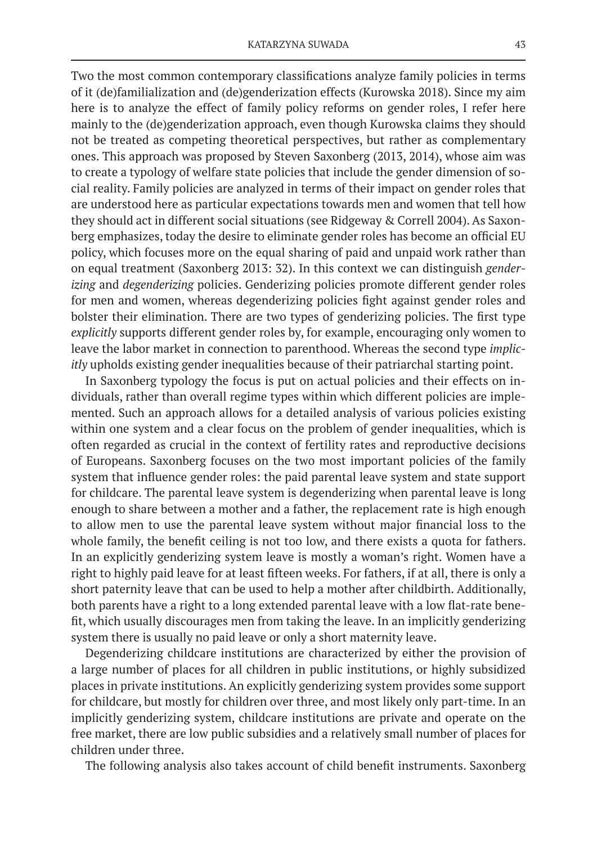Two the most common contemporary classifications analyze family policies in terms of it (de)familialization and (de)genderization effects (Kurowska 2018). Since my aim here is to analyze the effect of family policy reforms on gender roles, I refer here mainly to the (de)genderization approach, even though Kurowska claims they should not be treated as competing theoretical perspectives, but rather as complementary ones. This approach was proposed by Steven Saxonberg (2013, 2014), whose aim was to create a typology of welfare state policies that include the gender dimension of social reality. Family policies are analyzed in terms of their impact on gender roles that are understood here as particular expectations towards men and women that tell how they should act in different social situations (see Ridgeway & Correll 2004). As Saxonberg emphasizes, today the desire to eliminate gender roles has become an official EU policy, which focuses more on the equal sharing of paid and unpaid work rather than on equal treatment (Saxonberg 2013: 32). In this context we can distinguish *genderizing* and *degenderizing* policies. Genderizing policies promote different gender roles for men and women, whereas degenderizing policies fight against gender roles and bolster their elimination. There are two types of genderizing policies. The first type *explicitly* supports different gender roles by, for example, encouraging only women to leave the labor market in connection to parenthood. Whereas the second type *implicitly* upholds existing gender inequalities because of their patriarchal starting point.

In Saxonberg typology the focus is put on actual policies and their effects on individuals, rather than overall regime types within which different policies are implemented. Such an approach allows for a detailed analysis of various policies existing within one system and a clear focus on the problem of gender inequalities, which is often regarded as crucial in the context of fertility rates and reproductive decisions of Europeans. Saxonberg focuses on the two most important policies of the family system that influence gender roles: the paid parental leave system and state support for childcare. The parental leave system is degenderizing when parental leave is long enough to share between a mother and a father, the replacement rate is high enough to allow men to use the parental leave system without major financial loss to the whole family, the benefit ceiling is not too low, and there exists a quota for fathers. In an explicitly genderizing system leave is mostly a woman's right. Women have a right to highly paid leave for at least fifteen weeks. For fathers, if at all, there is only a short paternity leave that can be used to help a mother after childbirth. Additionally, both parents have a right to a long extended parental leave with a low flat-rate benefit, which usually discourages men from taking the leave. In an implicitly genderizing system there is usually no paid leave or only a short maternity leave.

Degenderizing childcare institutions are characterized by either the provision of a large number of places for all children in public institutions, or highly subsidized places in private institutions. An explicitly genderizing system provides some support for childcare, but mostly for children over three, and most likely only part-time. In an implicitly genderizing system, childcare institutions are private and operate on the free market, there are low public subsidies and a relatively small number of places for children under three.

The following analysis also takes account of child benefit instruments. Saxonberg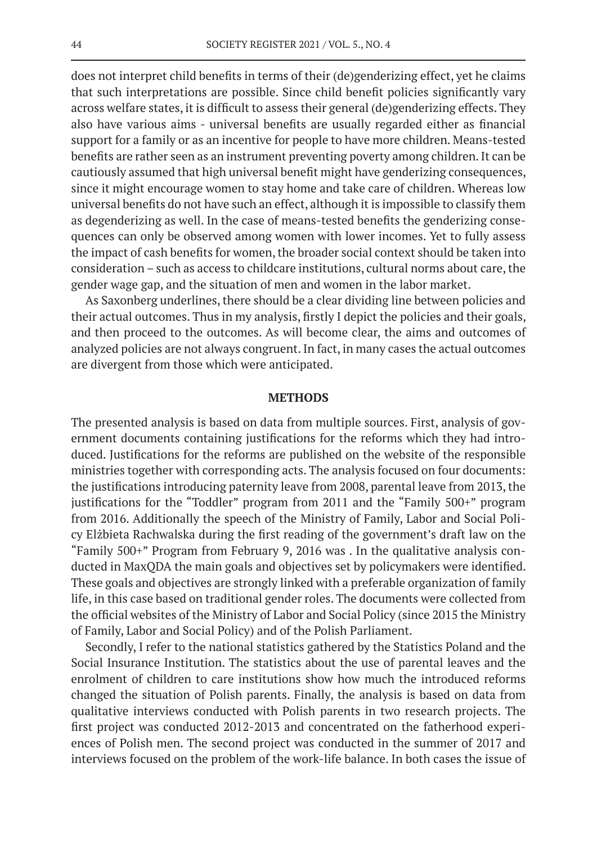does not interpret child benefits in terms of their (de)genderizing effect, yet he claims that such interpretations are possible. Since child benefit policies significantly vary across welfare states, it is difficult to assess their general (de)genderizing effects. They also have various aims - universal benefits are usually regarded either as financial support for a family or as an incentive for people to have more children. Means-tested benefits are rather seen as an instrument preventing poverty among children. It can be cautiously assumed that high universal benefit might have genderizing consequences, since it might encourage women to stay home and take care of children. Whereas low universal benefits do not have such an effect, although it is impossible to classify them as degenderizing as well. In the case of means-tested benefits the genderizing consequences can only be observed among women with lower incomes. Yet to fully assess the impact of cash benefits for women, the broader social context should be taken into consideration – such as access to childcare institutions, cultural norms about care, the gender wage gap, and the situation of men and women in the labor market.

As Saxonberg underlines, there should be a clear dividing line between policies and their actual outcomes. Thus in my analysis, firstly I depict the policies and their goals, and then proceed to the outcomes. As will become clear, the aims and outcomes of analyzed policies are not always congruent. In fact, in many cases the actual outcomes are divergent from those which were anticipated.

### **METHODS**

The presented analysis is based on data from multiple sources. First, analysis of government documents containing justifications for the reforms which they had introduced. Justifications for the reforms are published on the website of the responsible ministries together with corresponding acts. The analysis focused on four documents: the justifications introducing paternity leave from 2008, parental leave from 2013, the justifications for the "Toddler" program from 2011 and the "Family 500+" program from 2016. Additionally the speech of the Ministry of Family, Labor and Social Policy Elżbieta Rachwalska during the first reading of the government's draft law on the "Family 500+" Program from February 9, 2016 was . In the qualitative analysis conducted in MaxQDA the main goals and objectives set by policymakers were identified. These goals and objectives are strongly linked with a preferable organization of family life, in this case based on traditional gender roles. The documents were collected from the official websites of the Ministry of Labor and Social Policy (since 2015 the Ministry of Family, Labor and Social Policy) and of the Polish Parliament.

Secondly, I refer to the national statistics gathered by the Statistics Poland and the Social Insurance Institution. The statistics about the use of parental leaves and the enrolment of children to care institutions show how much the introduced reforms changed the situation of Polish parents. Finally, the analysis is based on data from qualitative interviews conducted with Polish parents in two research projects. The first project was conducted 2012-2013 and concentrated on the fatherhood experiences of Polish men. The second project was conducted in the summer of 2017 and interviews focused on the problem of the work-life balance. In both cases the issue of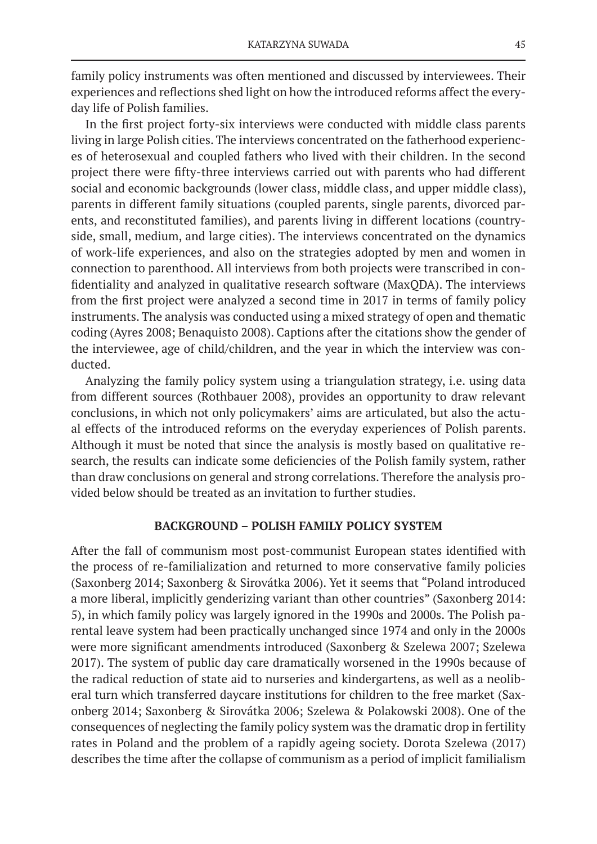family policy instruments was often mentioned and discussed by interviewees. Their experiences and reflections shed light on how the introduced reforms affect the everyday life of Polish families.

In the first project forty-six interviews were conducted with middle class parents living in large Polish cities. The interviews concentrated on the fatherhood experiences of heterosexual and coupled fathers who lived with their children. In the second project there were fifty-three interviews carried out with parents who had different social and economic backgrounds (lower class, middle class, and upper middle class), parents in different family situations (coupled parents, single parents, divorced parents, and reconstituted families), and parents living in different locations (countryside, small, medium, and large cities). The interviews concentrated on the dynamics of work-life experiences, and also on the strategies adopted by men and women in connection to parenthood. All interviews from both projects were transcribed in confidentiality and analyzed in qualitative research software (MaxQDA). The interviews from the first project were analyzed a second time in 2017 in terms of family policy instruments. The analysis was conducted using a mixed strategy of open and thematic coding (Ayres 2008; Benaquisto 2008). Captions after the citations show the gender of the interviewee, age of child/children, and the year in which the interview was conducted.

Analyzing the family policy system using a triangulation strategy, i.e. using data from different sources (Rothbauer 2008), provides an opportunity to draw relevant conclusions, in which not only policymakers' aims are articulated, but also the actual effects of the introduced reforms on the everyday experiences of Polish parents. Although it must be noted that since the analysis is mostly based on qualitative research, the results can indicate some deficiencies of the Polish family system, rather than draw conclusions on general and strong correlations. Therefore the analysis provided below should be treated as an invitation to further studies.

### **BACKGROUND – POLISH FAMILY POLICY SYSTEM**

After the fall of communism most post-communist European states identified with the process of re-familialization and returned to more conservative family policies (Saxonberg 2014; Saxonberg & Sirovátka 2006). Yet it seems that "Poland introduced a more liberal, implicitly genderizing variant than other countries" (Saxonberg 2014: 5), in which family policy was largely ignored in the 1990s and 2000s. The Polish parental leave system had been practically unchanged since 1974 and only in the 2000s were more significant amendments introduced (Saxonberg & Szelewa 2007; Szelewa 2017). The system of public day care dramatically worsened in the 1990s because of the radical reduction of state aid to nurseries and kindergartens, as well as a neoliberal turn which transferred daycare institutions for children to the free market (Saxonberg 2014; Saxonberg & Sirovátka 2006; Szelewa & Polakowski 2008). One of the consequences of neglecting the family policy system was the dramatic drop in fertility rates in Poland and the problem of a rapidly ageing society. Dorota Szelewa (2017) describes the time after the collapse of communism as a period of implicit familialism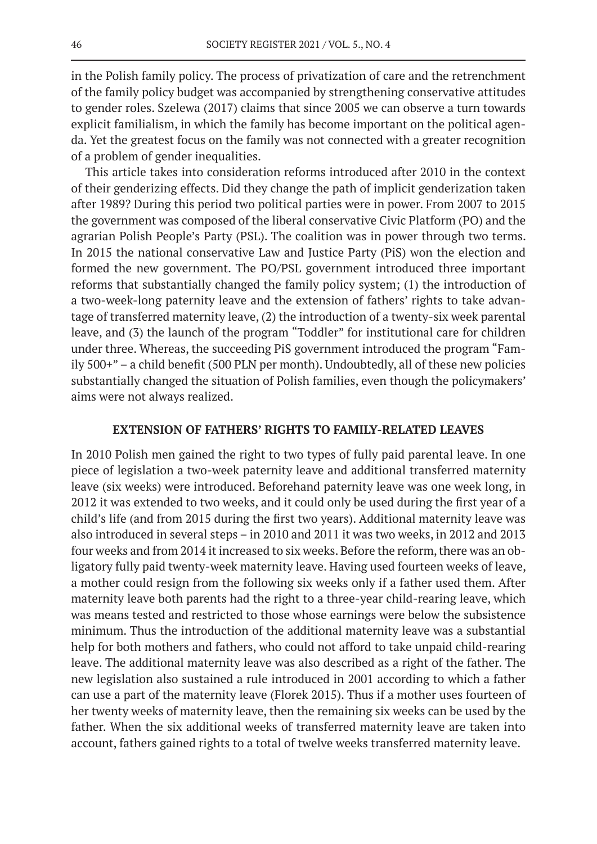in the Polish family policy. The process of privatization of care and the retrenchment of the family policy budget was accompanied by strengthening conservative attitudes to gender roles. Szelewa (2017) claims that since 2005 we can observe a turn towards explicit familialism, in which the family has become important on the political agenda. Yet the greatest focus on the family was not connected with a greater recognition of a problem of gender inequalities.

This article takes into consideration reforms introduced after 2010 in the context of their genderizing effects. Did they change the path of implicit genderization taken after 1989? During this period two political parties were in power. From 2007 to 2015 the government was composed of the liberal conservative Civic Platform (PO) and the agrarian Polish People's Party (PSL). The coalition was in power through two terms. In 2015 the national conservative Law and Justice Party (PiS) won the election and formed the new government. The PO/PSL government introduced three important reforms that substantially changed the family policy system; (1) the introduction of a two-week-long paternity leave and the extension of fathers' rights to take advantage of transferred maternity leave, (2) the introduction of a twenty-six week parental leave, and (3) the launch of the program "Toddler" for institutional care for children under three. Whereas, the succeeding PiS government introduced the program "Family 500+" – a child benefit (500 PLN per month). Undoubtedly, all of these new policies substantially changed the situation of Polish families, even though the policymakers' aims were not always realized.

### **EXTENSION OF FATHERS' RIGHTS TO FAMILY-RELATED LEAVES**

In 2010 Polish men gained the right to two types of fully paid parental leave. In one piece of legislation a two-week paternity leave and additional transferred maternity leave (six weeks) were introduced. Beforehand paternity leave was one week long, in 2012 it was extended to two weeks, and it could only be used during the first year of a child's life (and from 2015 during the first two years). Additional maternity leave was also introduced in several steps – in 2010 and 2011 it was two weeks, in 2012 and 2013 four weeks and from 2014 it increased to six weeks. Before the reform, there was an obligatory fully paid twenty-week maternity leave. Having used fourteen weeks of leave, a mother could resign from the following six weeks only if a father used them. After maternity leave both parents had the right to a three-year child-rearing leave, which was means tested and restricted to those whose earnings were below the subsistence minimum. Thus the introduction of the additional maternity leave was a substantial help for both mothers and fathers, who could not afford to take unpaid child-rearing leave. The additional maternity leave was also described as a right of the father. The new legislation also sustained a rule introduced in 2001 according to which a father can use a part of the maternity leave (Florek 2015). Thus if a mother uses fourteen of her twenty weeks of maternity leave, then the remaining six weeks can be used by the father. When the six additional weeks of transferred maternity leave are taken into account, fathers gained rights to a total of twelve weeks transferred maternity leave.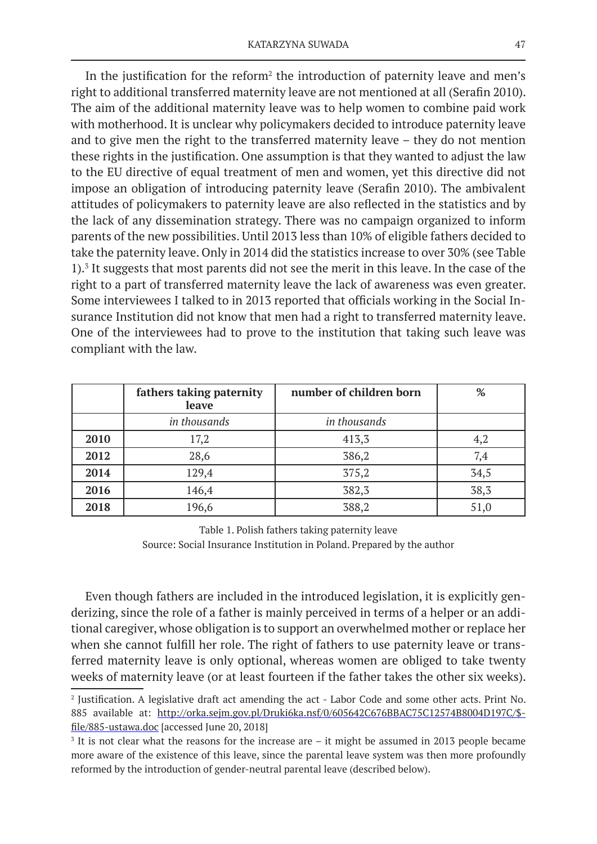In the justification for the reform<sup>2</sup> the introduction of paternity leave and men's right to additional transferred maternity leave are not mentioned at all (Serafin 2010). The aim of the additional maternity leave was to help women to combine paid work with motherhood. It is unclear why policymakers decided to introduce paternity leave and to give men the right to the transferred maternity leave – they do not mention these rights in the justification. One assumption is that they wanted to adjust the law to the EU directive of equal treatment of men and women, yet this directive did not impose an obligation of introducing paternity leave (Serafin 2010). The ambivalent attitudes of policymakers to paternity leave are also reflected in the statistics and by the lack of any dissemination strategy. There was no campaign organized to inform parents of the new possibilities. Until 2013 less than 10% of eligible fathers decided to take the paternity leave. Only in 2014 did the statistics increase to over 30% (see Table 1).3 It suggests that most parents did not see the merit in this leave. In the case of the right to a part of transferred maternity leave the lack of awareness was even greater. Some interviewees I talked to in 2013 reported that officials working in the Social Insurance Institution did not know that men had a right to transferred maternity leave. One of the interviewees had to prove to the institution that taking such leave was compliant with the law.

|      | fathers taking paternity<br>leave | number of children born | %    |
|------|-----------------------------------|-------------------------|------|
|      | in thousands                      | in thousands            |      |
| 2010 | 17,2                              | 413,3                   | 4,2  |
| 2012 | 28,6                              | 386,2                   | 7,4  |
| 2014 | 129,4                             | 375,2                   | 34,5 |
| 2016 | 146,4                             | 382,3                   | 38,3 |
| 2018 | 196,6                             | 388,2                   | 51,0 |

Table 1. Polish fathers taking paternity leave Source: Social Insurance Institution in Poland. Prepared by the author

Even though fathers are included in the introduced legislation, it is explicitly genderizing, since the role of a father is mainly perceived in terms of a helper or an additional caregiver, whose obligation is to support an overwhelmed mother or replace her when she cannot fulfill her role. The right of fathers to use paternity leave or transferred maternity leave is only optional, whereas women are obliged to take twenty weeks of maternity leave (or at least fourteen if the father takes the other six weeks).

<sup>2</sup> Justification. A legislative draft act amending the act - Labor Code and some other acts. Print No. 885 available at: http://orka.sejm.gov.pl/Druki6ka.nsf/0/605642C676BBAC75C12574B8004D197C/\$ file/885-ustawa.doc [accessed June 20, 2018]

<sup>&</sup>lt;sup>3</sup> It is not clear what the reasons for the increase are – it might be assumed in 2013 people became more aware of the existence of this leave, since the parental leave system was then more profoundly reformed by the introduction of gender-neutral parental leave (described below).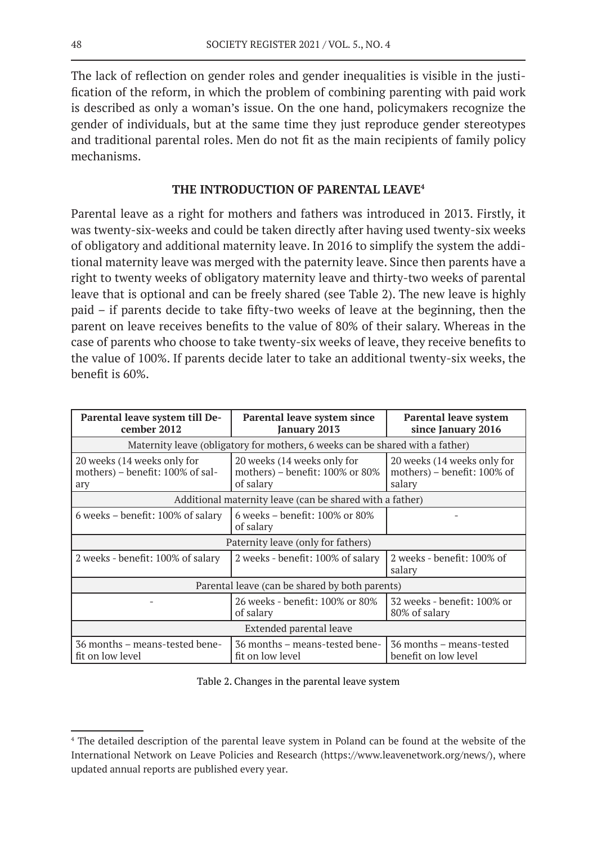The lack of reflection on gender roles and gender inequalities is visible in the justification of the reform, in which the problem of combining parenting with paid work is described as only a woman's issue. On the one hand, policymakers recognize the gender of individuals, but at the same time they just reproduce gender stereotypes and traditional parental roles. Men do not fit as the main recipients of family policy mechanisms.

# **THE INTRODUCTION OF PARENTAL LEAVE4**

Parental leave as a right for mothers and fathers was introduced in 2013. Firstly, it was twenty-six-weeks and could be taken directly after having used twenty-six weeks of obligatory and additional maternity leave. In 2016 to simplify the system the additional maternity leave was merged with the paternity leave. Since then parents have a right to twenty weeks of obligatory maternity leave and thirty-two weeks of parental leave that is optional and can be freely shared (see Table 2). The new leave is highly paid – if parents decide to take fifty-two weeks of leave at the beginning, then the parent on leave receives benefits to the value of 80% of their salary. Whereas in the case of parents who choose to take twenty-six weeks of leave, they receive benefits to the value of 100%. If parents decide later to take an additional twenty-six weeks, the benefit is 60%.

| Parental leave system till De-<br>cember 2012                                 | Parental leave system since<br><b>January 2013</b>                          | <b>Parental leave system</b><br>since January 2016                   |  |  |  |  |  |  |  |
|-------------------------------------------------------------------------------|-----------------------------------------------------------------------------|----------------------------------------------------------------------|--|--|--|--|--|--|--|
| Maternity leave (obligatory for mothers, 6 weeks can be shared with a father) |                                                                             |                                                                      |  |  |  |  |  |  |  |
| 20 weeks (14 weeks only for<br>mothers) - benefit: 100% of sal-<br>ary        | 20 weeks (14 weeks only for<br>mothers) - benefit: 100% or 80%<br>of salary | 20 weeks (14 weeks only for<br>mothers) - benefit: 100% of<br>salary |  |  |  |  |  |  |  |
| Additional maternity leave (can be shared with a father)                      |                                                                             |                                                                      |  |  |  |  |  |  |  |
| 6 weeks - benefit: 100% of salary                                             | 6 weeks – benefit: $100\%$ or $80\%$<br>of salary                           |                                                                      |  |  |  |  |  |  |  |
| Paternity leave (only for fathers)                                            |                                                                             |                                                                      |  |  |  |  |  |  |  |
| 2 weeks - benefit: 100% of salary                                             | 2 weeks - benefit: 100% of salary                                           | 2 weeks - benefit: 100% of<br>salary                                 |  |  |  |  |  |  |  |
| Parental leave (can be shared by both parents)                                |                                                                             |                                                                      |  |  |  |  |  |  |  |
|                                                                               | 26 weeks - benefit: 100% or 80%<br>of salary                                | 32 weeks - benefit: 100% or<br>80% of salary                         |  |  |  |  |  |  |  |
| Extended parental leave                                                       |                                                                             |                                                                      |  |  |  |  |  |  |  |
| 36 months – means-tested bene-<br>fit on low level                            | 36 months - means-tested bene-<br>fit on low level                          | 36 months – means-tested<br>benefit on low level                     |  |  |  |  |  |  |  |

Table 2. Changes in the parental leave system

<sup>4</sup> The detailed description of the parental leave system in Poland can be found at the website of the International Network on Leave Policies and Research (https://www.leavenetwork.org/news/), where updated annual reports are published every year.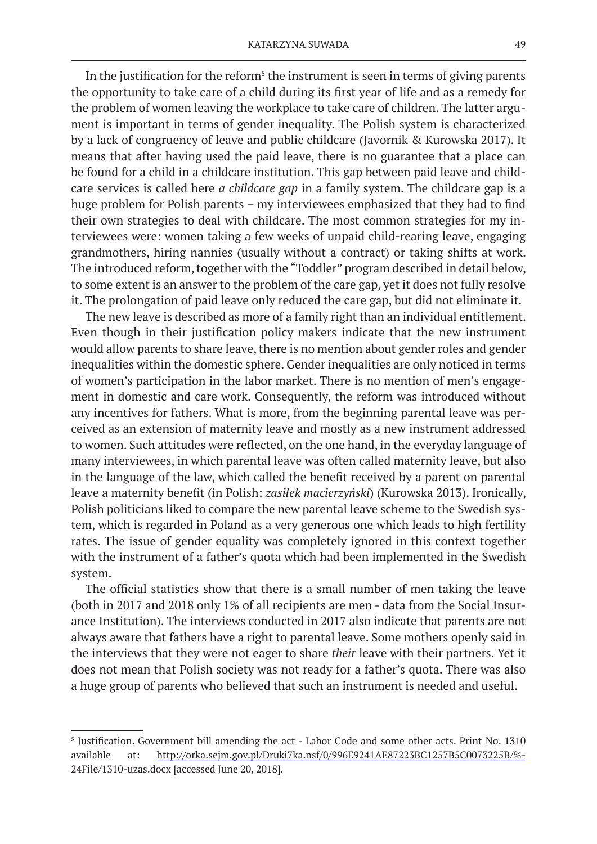In the justification for the reform<sup>5</sup> the instrument is seen in terms of giving parents the opportunity to take care of a child during its first year of life and as a remedy for the problem of women leaving the workplace to take care of children. The latter argument is important in terms of gender inequality. The Polish system is characterized by a lack of congruency of leave and public childcare (Javornik & Kurowska 2017). It means that after having used the paid leave, there is no guarantee that a place can be found for a child in a childcare institution. This gap between paid leave and childcare services is called here *a childcare gap* in a family system. The childcare gap is a huge problem for Polish parents – my interviewees emphasized that they had to find their own strategies to deal with childcare. The most common strategies for my interviewees were: women taking a few weeks of unpaid child-rearing leave, engaging grandmothers, hiring nannies (usually without a contract) or taking shifts at work. The introduced reform, together with the "Toddler" program described in detail below, to some extent is an answer to the problem of the care gap, yet it does not fully resolve it. The prolongation of paid leave only reduced the care gap, but did not eliminate it.

The new leave is described as more of a family right than an individual entitlement. Even though in their justification policy makers indicate that the new instrument would allow parents to share leave, there is no mention about gender roles and gender inequalities within the domestic sphere. Gender inequalities are only noticed in terms of women's participation in the labor market. There is no mention of men's engagement in domestic and care work. Consequently, the reform was introduced without any incentives for fathers. What is more, from the beginning parental leave was perceived as an extension of maternity leave and mostly as a new instrument addressed to women. Such attitudes were reflected, on the one hand, in the everyday language of many interviewees, in which parental leave was often called maternity leave, but also in the language of the law, which called the benefit received by a parent on parental leave a maternity benefit (in Polish: *zasiłek macierzyński*) (Kurowska 2013). Ironically, Polish politicians liked to compare the new parental leave scheme to the Swedish system, which is regarded in Poland as a very generous one which leads to high fertility rates. The issue of gender equality was completely ignored in this context together with the instrument of a father's quota which had been implemented in the Swedish system.

The official statistics show that there is a small number of men taking the leave (both in 2017 and 2018 only 1% of all recipients are men - data from the Social Insurance Institution). The interviews conducted in 2017 also indicate that parents are not always aware that fathers have a right to parental leave. Some mothers openly said in the interviews that they were not eager to share *their* leave with their partners. Yet it does not mean that Polish society was not ready for a father's quota. There was also a huge group of parents who believed that such an instrument is needed and useful.

<sup>5</sup> Justification. Government bill amending the act - Labor Code and some other acts. Print No. 1310 available at: http://orka.sejm.gov.pl/Druki7ka.nsf/0/996E9241AE87223BC1257B5C0073225B/%- 24File/1310-uzas.docx [accessed June 20, 2018].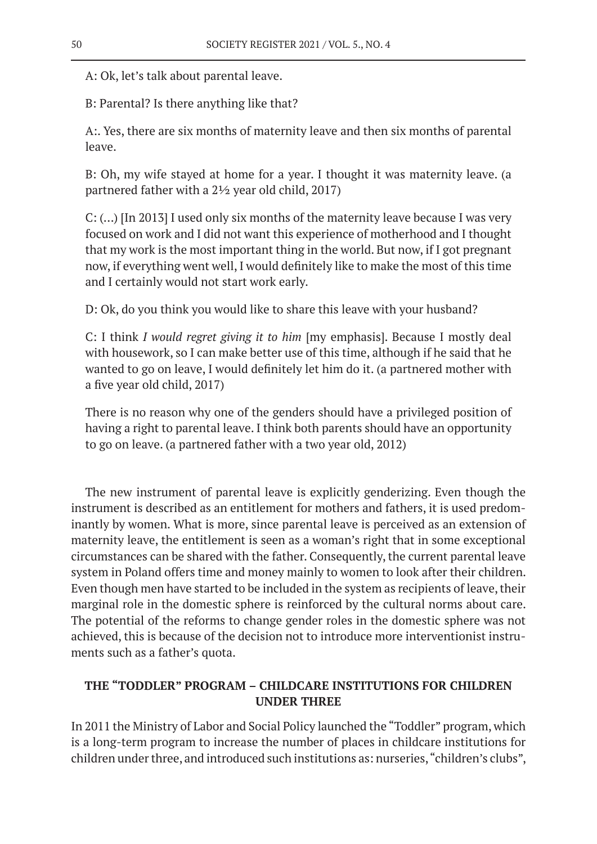A: Ok, let's talk about parental leave.

B: Parental? Is there anything like that?

A:. Yes, there are six months of maternity leave and then six months of parental leave.

B: Oh, my wife stayed at home for a year. I thought it was maternity leave. (a partnered father with a 2½ year old child, 2017)

C: (…) [In 2013] I used only six months of the maternity leave because I was very focused on work and I did not want this experience of motherhood and I thought that my work is the most important thing in the world. But now, if I got pregnant now, if everything went well, I would definitely like to make the most of this time and I certainly would not start work early.

D: Ok, do you think you would like to share this leave with your husband?

C: I think *I would regret giving it to him* [my emphasis]. Because I mostly deal with housework, so I can make better use of this time, although if he said that he wanted to go on leave, I would definitely let him do it. (a partnered mother with a five year old child, 2017)

There is no reason why one of the genders should have a privileged position of having a right to parental leave. I think both parents should have an opportunity to go on leave. (a partnered father with a two year old, 2012)

The new instrument of parental leave is explicitly genderizing. Even though the instrument is described as an entitlement for mothers and fathers, it is used predominantly by women. What is more, since parental leave is perceived as an extension of maternity leave, the entitlement is seen as a woman's right that in some exceptional circumstances can be shared with the father. Consequently, the current parental leave system in Poland offers time and money mainly to women to look after their children. Even though men have started to be included in the system as recipients of leave, their marginal role in the domestic sphere is reinforced by the cultural norms about care. The potential of the reforms to change gender roles in the domestic sphere was not achieved, this is because of the decision not to introduce more interventionist instruments such as a father's quota.

# **THE "TODDLER" PROGRAM – CHILDCARE INSTITUTIONS FOR CHILDREN UNDER THREE**

In 2011 the Ministry of Labor and Social Policy launched the "Toddler" program, which is a long-term program to increase the number of places in childcare institutions for children under three, and introduced such institutions as: nurseries, "children's clubs",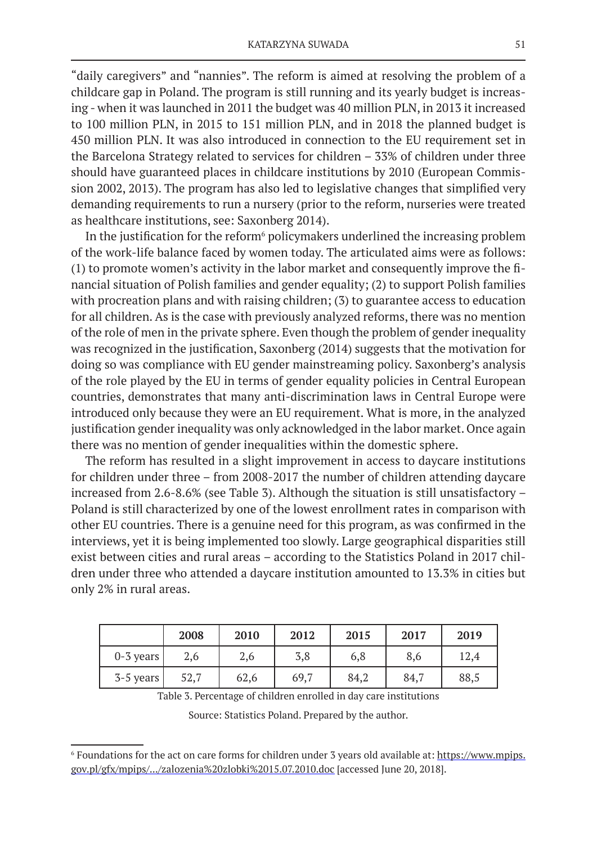"daily caregivers" and "nannies". The reform is aimed at resolving the problem of a childcare gap in Poland. The program is still running and its yearly budget is increasing - when it was launched in 2011 the budget was 40 million PLN, in 2013 it increased to 100 million PLN, in 2015 to 151 million PLN, and in 2018 the planned budget is 450 million PLN. It was also introduced in connection to the EU requirement set in the Barcelona Strategy related to services for children – 33% of children under three should have guaranteed places in childcare institutions by 2010 (European Commission 2002, 2013). The program has also led to legislative changes that simplified very demanding requirements to run a nursery (prior to the reform, nurseries were treated as healthcare institutions, see: Saxonberg 2014).

In the justification for the reform<sup>6</sup> policymakers underlined the increasing problem of the work-life balance faced by women today. The articulated aims were as follows: (1) to promote women's activity in the labor market and consequently improve the financial situation of Polish families and gender equality; (2) to support Polish families with procreation plans and with raising children; (3) to guarantee access to education for all children. As is the case with previously analyzed reforms, there was no mention of the role of men in the private sphere. Even though the problem of gender inequality was recognized in the justification, Saxonberg (2014) suggests that the motivation for doing so was compliance with EU gender mainstreaming policy. Saxonberg's analysis of the role played by the EU in terms of gender equality policies in Central European countries, demonstrates that many anti-discrimination laws in Central Europe were introduced only because they were an EU requirement. What is more, in the analyzed justification gender inequality was only acknowledged in the labor market. Once again there was no mention of gender inequalities within the domestic sphere.

The reform has resulted in a slight improvement in access to daycare institutions for children under three – from 2008-2017 the number of children attending daycare increased from 2.6-8.6% (see Table 3). Although the situation is still unsatisfactory – Poland is still characterized by one of the lowest enrollment rates in comparison with other EU countries. There is a genuine need for this program, as was confirmed in the interviews, yet it is being implemented too slowly. Large geographical disparities still exist between cities and rural areas – according to the Statistics Poland in 2017 children under three who attended a daycare institution amounted to 13.3% in cities but only 2% in rural areas.

|             | 2008 | 2010 | 2012 | 2015 | 2017 | 2019 |
|-------------|------|------|------|------|------|------|
| $0-3$ years | 2,6  | 2,6  | 3,8  | 6,8  | 8,6  | 12,4 |
| $3-5$ years | 52,7 | 62,6 | 69,7 | 84,2 | 84,7 | 88,5 |

Table 3. Percentage of children enrolled in day care institutions

Source: Statistics Poland. Prepared by the author.

<sup>6</sup> Foundations for the act on care forms for children under 3 years old available at: https://www.mpips. gov.pl/gfx/mpips/.../zalozenia%20zlobki%2015.07.2010.doc [accessed June 20, 2018].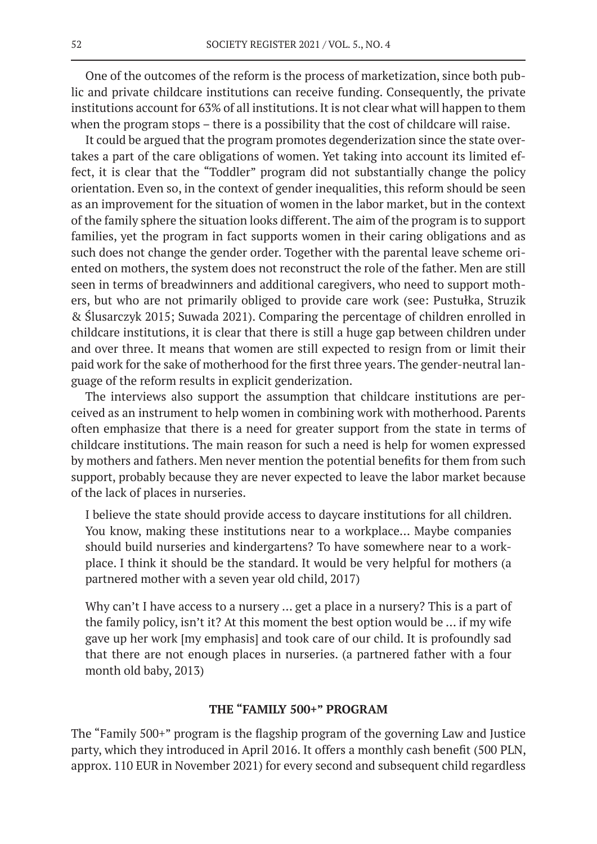One of the outcomes of the reform is the process of marketization, since both public and private childcare institutions can receive funding. Consequently, the private institutions account for 63% of all institutions. It is not clear what will happen to them when the program stops – there is a possibility that the cost of childcare will raise.

It could be argued that the program promotes degenderization since the state overtakes a part of the care obligations of women. Yet taking into account its limited effect, it is clear that the "Toddler" program did not substantially change the policy orientation. Even so, in the context of gender inequalities, this reform should be seen as an improvement for the situation of women in the labor market, but in the context of the family sphere the situation looks different. The aim of the program is to support families, yet the program in fact supports women in their caring obligations and as such does not change the gender order. Together with the parental leave scheme oriented on mothers, the system does not reconstruct the role of the father. Men are still seen in terms of breadwinners and additional caregivers, who need to support mothers, but who are not primarily obliged to provide care work (see: Pustułka, Struzik & Ślusarczyk 2015; Suwada 2021). Comparing the percentage of children enrolled in childcare institutions, it is clear that there is still a huge gap between children under and over three. It means that women are still expected to resign from or limit their paid work for the sake of motherhood for the first three years. The gender-neutral language of the reform results in explicit genderization.

The interviews also support the assumption that childcare institutions are perceived as an instrument to help women in combining work with motherhood. Parents often emphasize that there is a need for greater support from the state in terms of childcare institutions. The main reason for such a need is help for women expressed by mothers and fathers. Men never mention the potential benefits for them from such support, probably because they are never expected to leave the labor market because of the lack of places in nurseries.

I believe the state should provide access to daycare institutions for all children. You know, making these institutions near to a workplace… Maybe companies should build nurseries and kindergartens? To have somewhere near to a workplace. I think it should be the standard. It would be very helpful for mothers (a partnered mother with a seven year old child, 2017)

Why can't I have access to a nursery … get a place in a nursery? This is a part of the family policy, isn't it? At this moment the best option would be … if my wife gave up her work [my emphasis] and took care of our child. It is profoundly sad that there are not enough places in nurseries. (a partnered father with a four month old baby, 2013)

### **THE "FAMILY 500+" PROGRAM**

The "Family 500+" program is the flagship program of the governing Law and Justice party, which they introduced in April 2016. It offers a monthly cash benefit (500 PLN, approx. 110 EUR in November 2021) for every second and subsequent child regardless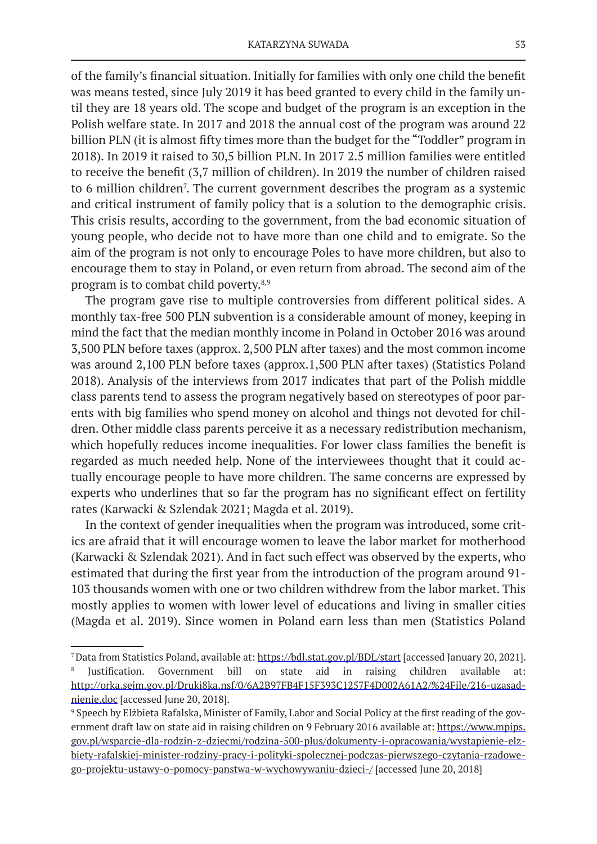of the family's financial situation. Initially for families with only one child the benefit was means tested, since July 2019 it has beed granted to every child in the family until they are 18 years old. The scope and budget of the program is an exception in the Polish welfare state. In 2017 and 2018 the annual cost of the program was around 22 billion PLN (it is almost fifty times more than the budget for the "Toddler" program in 2018). In 2019 it raised to 30,5 billion PLN. In 2017 2.5 million families were entitled to receive the benefit (3,7 million of children). In 2019 the number of children raised to 6 million children<sup>7</sup>. The current government describes the program as a systemic and critical instrument of family policy that is a solution to the demographic crisis. This crisis results, according to the government, from the bad economic situation of young people, who decide not to have more than one child and to emigrate. So the aim of the program is not only to encourage Poles to have more children, but also to encourage them to stay in Poland, or even return from abroad. The second aim of the program is to combat child poverty.8,9

The program gave rise to multiple controversies from different political sides. A monthly tax-free 500 PLN subvention is a considerable amount of money, keeping in mind the fact that the median monthly income in Poland in October 2016 was around 3,500 PLN before taxes (approx. 2,500 PLN after taxes) and the most common income was around 2,100 PLN before taxes (approx.1,500 PLN after taxes) (Statistics Poland 2018). Analysis of the interviews from 2017 indicates that part of the Polish middle class parents tend to assess the program negatively based on stereotypes of poor parents with big families who spend money on alcohol and things not devoted for children. Other middle class parents perceive it as a necessary redistribution mechanism, which hopefully reduces income inequalities. For lower class families the benefit is regarded as much needed help. None of the interviewees thought that it could actually encourage people to have more children. The same concerns are expressed by experts who underlines that so far the program has no significant effect on fertility rates (Karwacki & Szlendak 2021; Magda et al. 2019).

In the context of gender inequalities when the program was introduced, some critics are afraid that it will encourage women to leave the labor market for motherhood (Karwacki & Szlendak 2021). And in fact such effect was observed by the experts, who estimated that during the first year from the introduction of the program around 91- 103 thousands women with one or two children withdrew from the labor market. This mostly applies to women with lower level of educations and living in smaller cities (Magda et al. 2019). Since women in Poland earn less than men (Statistics Poland

<sup>7</sup>Data from Statistics Poland, available at: https://bdl.stat.gov.pl/BDL/start [accessed January 20, 2021]. 8 Justification. Government bill on state aid in raising children available at: http://orka.sejm.gov.pl/Druki8ka.nsf/0/6A2B97FB4F15F393C1257F4D002A61A2/%24File/216-uzasadnienie.doc [accessed June 20, 2018].

<sup>9</sup> Speech by Elżbieta Rafalska, Minister of Family, Labor and Social Policy at the first reading of the government draft law on state aid in raising children on 9 February 2016 available at: https://www.mpips. gov.pl/wsparcie-dla-rodzin-z-dziecmi/rodzina-500-plus/dokumenty-i-opracowania/wystapienie-elzbiety-rafalskiej-minister-rodziny-pracy-i-polityki-spolecznej-podczas-pierwszego-czytania-rzadowego-projektu-ustawy-o-pomocy-panstwa-w-wychowywaniu-dzieci-/ [accessed June 20, 2018]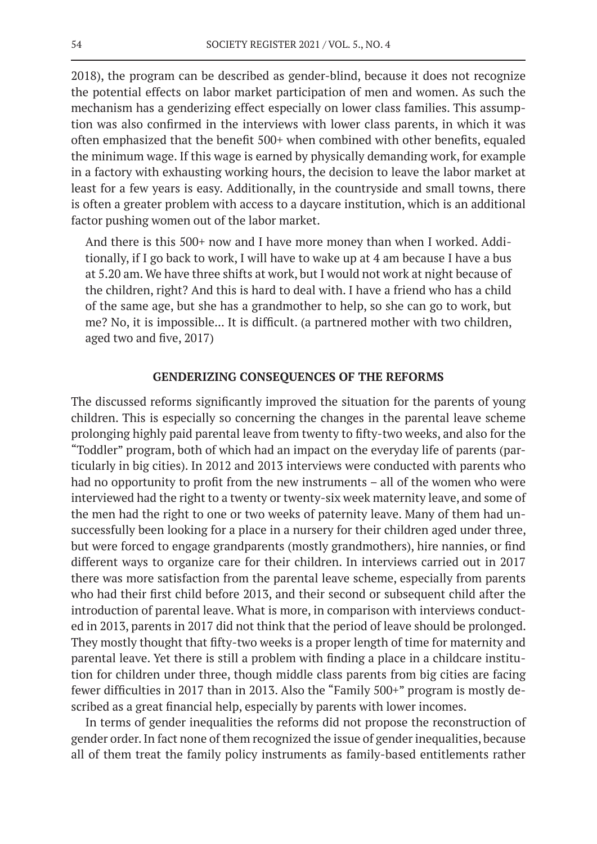2018), the program can be described as gender-blind, because it does not recognize the potential effects on labor market participation of men and women. As such the mechanism has a genderizing effect especially on lower class families. This assumption was also confirmed in the interviews with lower class parents, in which it was often emphasized that the benefit 500+ when combined with other benefits, equaled the minimum wage. If this wage is earned by physically demanding work, for example in a factory with exhausting working hours, the decision to leave the labor market at least for a few years is easy. Additionally, in the countryside and small towns, there is often a greater problem with access to a daycare institution, which is an additional factor pushing women out of the labor market.

And there is this 500+ now and I have more money than when I worked. Additionally, if I go back to work, I will have to wake up at 4 am because I have a bus at 5.20 am. We have three shifts at work, but I would not work at night because of the children, right? And this is hard to deal with. I have a friend who has a child of the same age, but she has a grandmother to help, so she can go to work, but me? No, it is impossible... It is difficult. (a partnered mother with two children, aged two and five, 2017)

### **GENDERIZING CONSEQUENCES OF THE REFORMS**

The discussed reforms significantly improved the situation for the parents of young children. This is especially so concerning the changes in the parental leave scheme prolonging highly paid parental leave from twenty to fifty-two weeks, and also for the "Toddler" program, both of which had an impact on the everyday life of parents (particularly in big cities). In 2012 and 2013 interviews were conducted with parents who had no opportunity to profit from the new instruments – all of the women who were interviewed had the right to a twenty or twenty-six week maternity leave, and some of the men had the right to one or two weeks of paternity leave. Many of them had unsuccessfully been looking for a place in a nursery for their children aged under three, but were forced to engage grandparents (mostly grandmothers), hire nannies, or find different ways to organize care for their children. In interviews carried out in 2017 there was more satisfaction from the parental leave scheme, especially from parents who had their first child before 2013, and their second or subsequent child after the introduction of parental leave. What is more, in comparison with interviews conducted in 2013, parents in 2017 did not think that the period of leave should be prolonged. They mostly thought that fifty-two weeks is a proper length of time for maternity and parental leave. Yet there is still a problem with finding a place in a childcare institution for children under three, though middle class parents from big cities are facing fewer difficulties in 2017 than in 2013. Also the "Family 500+" program is mostly described as a great financial help, especially by parents with lower incomes.

In terms of gender inequalities the reforms did not propose the reconstruction of gender order. In fact none of them recognized the issue of gender inequalities, because all of them treat the family policy instruments as family-based entitlements rather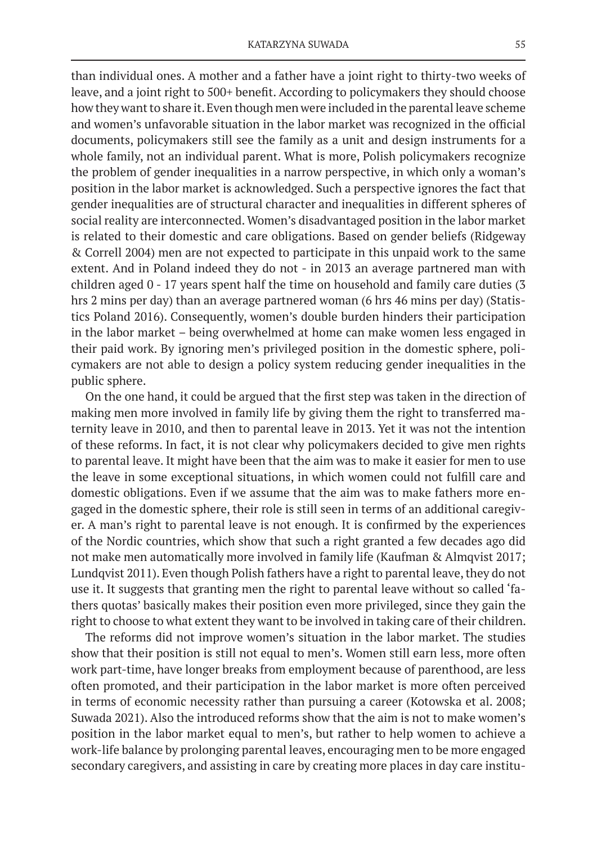than individual ones. A mother and a father have a joint right to thirty-two weeks of leave, and a joint right to 500+ benefit. According to policymakers they should choose how they want to share it. Even though men were included in the parental leave scheme and women's unfavorable situation in the labor market was recognized in the official documents, policymakers still see the family as a unit and design instruments for a whole family, not an individual parent. What is more, Polish policymakers recognize the problem of gender inequalities in a narrow perspective, in which only a woman's position in the labor market is acknowledged. Such a perspective ignores the fact that gender inequalities are of structural character and inequalities in different spheres of social reality are interconnected. Women's disadvantaged position in the labor market is related to their domestic and care obligations. Based on gender beliefs (Ridgeway & Correll 2004) men are not expected to participate in this unpaid work to the same extent. And in Poland indeed they do not - in 2013 an average partnered man with children aged 0 - 17 years spent half the time on household and family care duties (3 hrs 2 mins per day) than an average partnered woman (6 hrs 46 mins per day) (Statistics Poland 2016). Consequently, women's double burden hinders their participation in the labor market – being overwhelmed at home can make women less engaged in their paid work. By ignoring men's privileged position in the domestic sphere, policymakers are not able to design a policy system reducing gender inequalities in the public sphere.

On the one hand, it could be argued that the first step was taken in the direction of making men more involved in family life by giving them the right to transferred maternity leave in 2010, and then to parental leave in 2013. Yet it was not the intention of these reforms. In fact, it is not clear why policymakers decided to give men rights to parental leave. It might have been that the aim was to make it easier for men to use the leave in some exceptional situations, in which women could not fulfill care and domestic obligations. Even if we assume that the aim was to make fathers more engaged in the domestic sphere, their role is still seen in terms of an additional caregiver. A man's right to parental leave is not enough. It is confirmed by the experiences of the Nordic countries, which show that such a right granted a few decades ago did not make men automatically more involved in family life (Kaufman & Almqvist 2017; Lundqvist 2011). Even though Polish fathers have a right to parental leave, they do not use it. It suggests that granting men the right to parental leave without so called 'fathers quotas' basically makes their position even more privileged, since they gain the right to choose to what extent they want to be involved in taking care of their children.

The reforms did not improve women's situation in the labor market. The studies show that their position is still not equal to men's. Women still earn less, more often work part-time, have longer breaks from employment because of parenthood, are less often promoted, and their participation in the labor market is more often perceived in terms of economic necessity rather than pursuing a career (Kotowska et al. 2008; Suwada 2021). Also the introduced reforms show that the aim is not to make women's position in the labor market equal to men's, but rather to help women to achieve a work-life balance by prolonging parental leaves, encouraging men to be more engaged secondary caregivers, and assisting in care by creating more places in day care institu-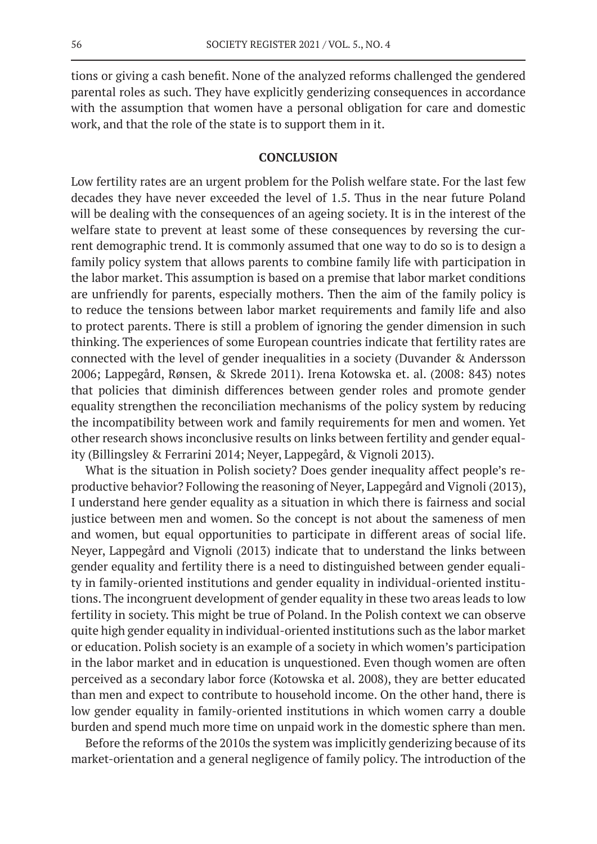tions or giving a cash benefit. None of the analyzed reforms challenged the gendered parental roles as such. They have explicitly genderizing consequences in accordance with the assumption that women have a personal obligation for care and domestic work, and that the role of the state is to support them in it.

### **CONCLUSION**

Low fertility rates are an urgent problem for the Polish welfare state. For the last few decades they have never exceeded the level of 1.5. Thus in the near future Poland will be dealing with the consequences of an ageing society. It is in the interest of the welfare state to prevent at least some of these consequences by reversing the current demographic trend. It is commonly assumed that one way to do so is to design a family policy system that allows parents to combine family life with participation in the labor market. This assumption is based on a premise that labor market conditions are unfriendly for parents, especially mothers. Then the aim of the family policy is to reduce the tensions between labor market requirements and family life and also to protect parents. There is still a problem of ignoring the gender dimension in such thinking. The experiences of some European countries indicate that fertility rates are connected with the level of gender inequalities in a society (Duvander & Andersson 2006; Lappegård, Rønsen, & Skrede 2011). Irena Kotowska et. al. (2008: 843) notes that policies that diminish differences between gender roles and promote gender equality strengthen the reconciliation mechanisms of the policy system by reducing the incompatibility between work and family requirements for men and women. Yet other research shows inconclusive results on links between fertility and gender equality (Billingsley & Ferrarini 2014; Neyer, Lappegård, & Vignoli 2013).

What is the situation in Polish society? Does gender inequality affect people's reproductive behavior? Following the reasoning of Neyer, Lappegård and Vignoli (2013), I understand here gender equality as a situation in which there is fairness and social justice between men and women. So the concept is not about the sameness of men and women, but equal opportunities to participate in different areas of social life. Neyer, Lappegård and Vignoli (2013) indicate that to understand the links between gender equality and fertility there is a need to distinguished between gender equality in family-oriented institutions and gender equality in individual-oriented institutions. The incongruent development of gender equality in these two areas leads to low fertility in society. This might be true of Poland. In the Polish context we can observe quite high gender equality in individual-oriented institutions such as the labor market or education. Polish society is an example of a society in which women's participation in the labor market and in education is unquestioned. Even though women are often perceived as a secondary labor force (Kotowska et al. 2008), they are better educated than men and expect to contribute to household income. On the other hand, there is low gender equality in family-oriented institutions in which women carry a double burden and spend much more time on unpaid work in the domestic sphere than men.

Before the reforms of the 2010s the system was implicitly genderizing because of its market-orientation and a general negligence of family policy. The introduction of the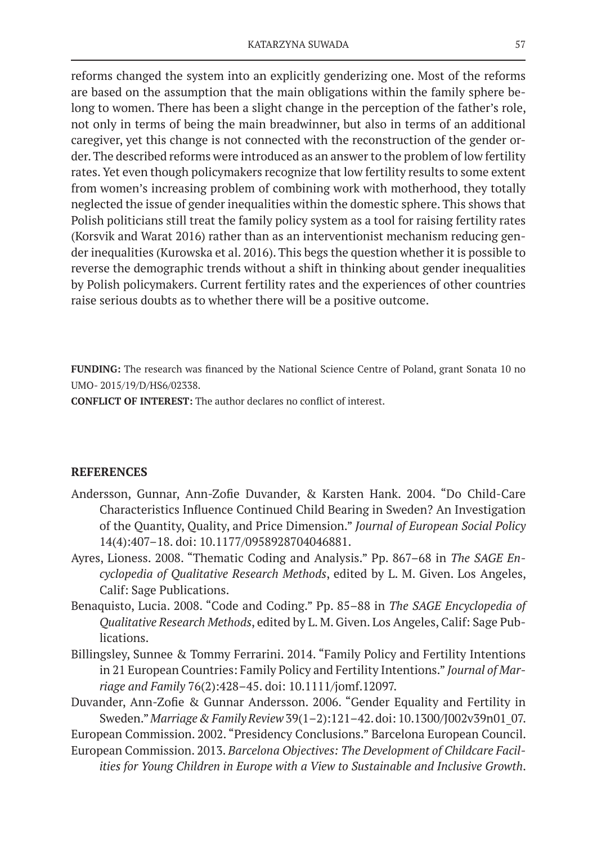reforms changed the system into an explicitly genderizing one. Most of the reforms are based on the assumption that the main obligations within the family sphere belong to women. There has been a slight change in the perception of the father's role, not only in terms of being the main breadwinner, but also in terms of an additional caregiver, yet this change is not connected with the reconstruction of the gender order. The described reforms were introduced as an answer to the problem of low fertility rates. Yet even though policymakers recognize that low fertility results to some extent from women's increasing problem of combining work with motherhood, they totally neglected the issue of gender inequalities within the domestic sphere. This shows that Polish politicians still treat the family policy system as a tool for raising fertility rates (Korsvik and Warat 2016) rather than as an interventionist mechanism reducing gender inequalities (Kurowska et al. 2016). This begs the question whether it is possible to reverse the demographic trends without a shift in thinking about gender inequalities by Polish policymakers. Current fertility rates and the experiences of other countries raise serious doubts as to whether there will be a positive outcome.

**FUNDING:** The research was financed by the National Science Centre of Poland, grant Sonata 10 no UMO- 2015/19/D/HS6/02338.

**CONFLICT OF INTEREST:** The author declares no conflict of interest.

# **REFERENCES**

- Andersson, Gunnar, Ann-Zofie Duvander, & Karsten Hank. 2004. "Do Child-Care Characteristics Influence Continued Child Bearing in Sweden? An Investigation of the Quantity, Quality, and Price Dimension." *Journal of European Social Policy* 14(4):407–18. doi: 10.1177/0958928704046881.
- Ayres, Lioness. 2008. "Thematic Coding and Analysis." Pp. 867–68 in *The SAGE Encyclopedia of Qualitative Research Methods*, edited by L. M. Given. Los Angeles, Calif: Sage Publications.
- Benaquisto, Lucia. 2008. "Code and Coding." Pp. 85–88 in *The SAGE Encyclopedia of Qualitative Research Methods*, edited by L. M. Given. Los Angeles, Calif: Sage Publications.
- Billingsley, Sunnee & Tommy Ferrarini. 2014. "Family Policy and Fertility Intentions in 21 European Countries: Family Policy and Fertility Intentions." *Journal of Marriage and Family* 76(2):428–45. doi: 10.1111/jomf.12097.
- Duvander, Ann-Zofie & Gunnar Andersson. 2006. "Gender Equality and Fertility in Sweden." *Marriage & Family Review* 39(1–2):121–42. doi: 10.1300/J002v39n01\_07.

European Commission. 2002. "Presidency Conclusions." Barcelona European Council.

European Commission. 2013. *Barcelona Objectives: The Development of Childcare Facilities for Young Children in Europe with a View to Sustainable and Inclusive Growth*.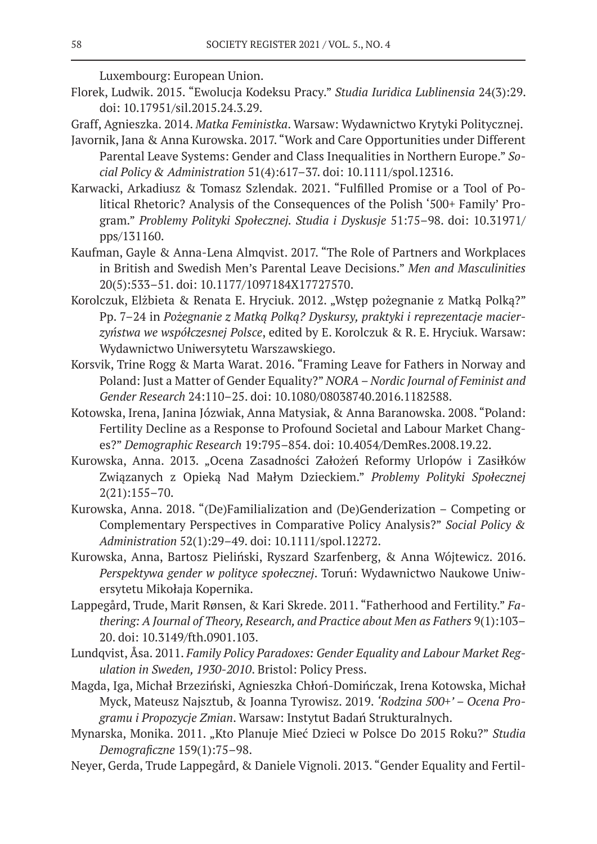Luxembourg: European Union.

- Florek, Ludwik. 2015. "Ewolucja Kodeksu Pracy." *Studia Iuridica Lublinensia* 24(3):29. doi: 10.17951/sil.2015.24.3.29.
- Graff, Agnieszka. 2014. *Matka Feministka*. Warsaw: Wydawnictwo Krytyki Politycznej.
- Javornik, Jana & Anna Kurowska. 2017. "Work and Care Opportunities under Different Parental Leave Systems: Gender and Class Inequalities in Northern Europe." *Social Policy & Administration* 51(4):617–37. doi: 10.1111/spol.12316.
- Karwacki, Arkadiusz & Tomasz Szlendak. 2021. "Fulfilled Promise or a Tool of Political Rhetoric? Analysis of the Consequences of the Polish '500+ Family' Program." *Problemy Polityki Społecznej. Studia i Dyskusje* 51:75–98. doi: 10.31971/ pps/131160.
- Kaufman, Gayle & Anna-Lena Almqvist. 2017. "The Role of Partners and Workplaces in British and Swedish Men's Parental Leave Decisions." *Men and Masculinities* 20(5):533–51. doi: 10.1177/1097184X17727570.
- Korolczuk, Elżbieta & Renata E. Hryciuk. 2012. "Wstęp pożegnanie z Matką Polką?" Pp. 7–24 in *Pożegnanie z Matką Polką? Dyskursy, praktyki i reprezentacje macierzyństwa we współczesnej Polsce*, edited by E. Korolczuk & R. E. Hryciuk. Warsaw: Wydawnictwo Uniwersytetu Warszawskiego.
- Korsvik, Trine Rogg & Marta Warat. 2016. "Framing Leave for Fathers in Norway and Poland: Just a Matter of Gender Equality?" *NORA – Nordic Journal of Feminist and Gender Research* 24:110–25. doi: 10.1080/08038740.2016.1182588.
- Kotowska, Irena, Janina Józwiak, Anna Matysiak, & Anna Baranowska. 2008. "Poland: Fertility Decline as a Response to Profound Societal and Labour Market Changes?" *Demographic Research* 19:795–854. doi: 10.4054/DemRes.2008.19.22.
- Kurowska, Anna. 2013. "Ocena Zasadności Założeń Reformy Urlopów i Zasiłków Związanych z Opieką Nad Małym Dzieckiem." *Problemy Polityki Społecznej* 2(21):155–70.
- Kurowska, Anna. 2018. "(De)Familialization and (De)Genderization Competing or Complementary Perspectives in Comparative Policy Analysis?" *Social Policy & Administration* 52(1):29–49. doi: 10.1111/spol.12272.
- Kurowska, Anna, Bartosz Pieliński, Ryszard Szarfenberg, & Anna Wójtewicz. 2016. *Perspektywa gender w polityce społecznej*. Toruń: Wydawnictwo Naukowe Uniwersytetu Mikołaja Kopernika.
- Lappegård, Trude, Marit Rønsen, & Kari Skrede. 2011. "Fatherhood and Fertility." *Fathering: A Journal of Theory, Research, and Practice about Men as Fathers* 9(1):103– 20. doi: 10.3149/fth.0901.103.
- Lundqvist, Åsa. 2011. *Family Policy Paradoxes: Gender Equality and Labour Market Regulation in Sweden, 1930-2010*. Bristol: Policy Press.
- Magda, Iga, Michał Brzeziński, Agnieszka Chłoń-Domińczak, Irena Kotowska, Michał Myck, Mateusz Najsztub, & Joanna Tyrowisz. 2019. *'Rodzina 500+' – Ocena Programu i Propozycje Zmian*. Warsaw: Instytut Badań Strukturalnych.
- Mynarska, Monika. 2011. "Kto Planuje Mieć Dzieci w Polsce Do 2015 Roku?" *Studia Demograficzne* 159(1):75–98.
- Neyer, Gerda, Trude Lappegård, & Daniele Vignoli. 2013. "Gender Equality and Fertil-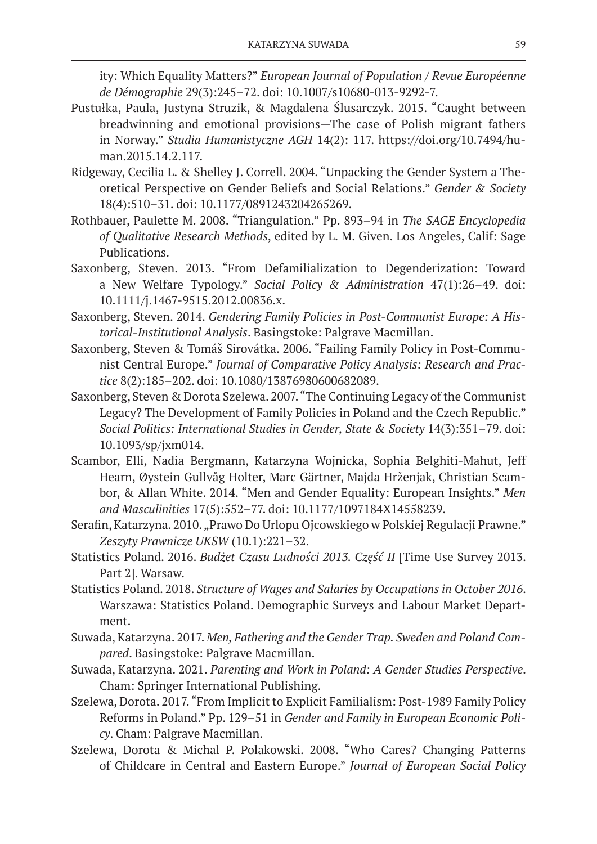ity: Which Equality Matters?" *European Journal of Population / Revue Européenne de Démographie* 29(3):245–72. doi: 10.1007/s10680-013-9292-7.

- Pustułka, Paula, Justyna Struzik, & Magdalena Ślusarczyk. 2015. "Caught between breadwinning and emotional provisions—The case of Polish migrant fathers in Norway." *Studia Humanistyczne AGH* 14(2): 117. https://doi.org/10.7494/human.2015.14.2.117.
- Ridgeway, Cecilia L. & Shelley J. Correll. 2004. "Unpacking the Gender System a Theoretical Perspective on Gender Beliefs and Social Relations." *Gender & Society* 18(4):510–31. doi: 10.1177/0891243204265269.
- Rothbauer, Paulette M. 2008. "Triangulation." Pp. 893–94 in *The SAGE Encyclopedia of Qualitative Research Methods*, edited by L. M. Given. Los Angeles, Calif: Sage Publications.
- Saxonberg, Steven. 2013. "From Defamilialization to Degenderization: Toward a New Welfare Typology." *Social Policy & Administration* 47(1):26–49. doi: 10.1111/j.1467-9515.2012.00836.x.
- Saxonberg, Steven. 2014. *Gendering Family Policies in Post-Communist Europe: A Historical-Institutional Analysis*. Basingstoke: Palgrave Macmillan.
- Saxonberg, Steven & Tomáš Sirovátka. 2006. "Failing Family Policy in Post-Communist Central Europe." *Journal of Comparative Policy Analysis: Research and Practice* 8(2):185–202. doi: 10.1080/13876980600682089.
- Saxonberg, Steven & Dorota Szelewa. 2007. "The Continuing Legacy of the Communist Legacy? The Development of Family Policies in Poland and the Czech Republic." *Social Politics: International Studies in Gender, State & Society* 14(3):351–79. doi: 10.1093/sp/jxm014.
- Scambor, Elli, Nadia Bergmann, Katarzyna Wojnicka, Sophia Belghiti-Mahut, Jeff Hearn, Øystein Gullvåg Holter, Marc Gärtner, Majda Hrženjak, Christian Scambor, & Allan White. 2014. "Men and Gender Equality: European Insights." *Men and Masculinities* 17(5):552–77. doi: 10.1177/1097184X14558239.
- Serafin, Katarzyna. 2010. "Prawo Do Urlopu Ojcowskiego w Polskiej Regulacji Prawne." *Zeszyty Prawnicze UKSW* (10.1):221–32.
- Statistics Poland. 2016. *Budżet Czasu Ludności 2013. Część II* [Time Use Survey 2013. Part 2]. Warsaw.
- Statistics Poland. 2018. *Structure of Wages and Salaries by Occupations in October 2016*. Warszawa: Statistics Poland. Demographic Surveys and Labour Market Department.
- Suwada, Katarzyna. 2017. *Men, Fathering and the Gender Trap. Sweden and Poland Compared*. Basingstoke: Palgrave Macmillan.
- Suwada, Katarzyna. 2021. *Parenting and Work in Poland: A Gender Studies Perspective*. Cham: Springer International Publishing.
- Szelewa, Dorota. 2017. "From Implicit to Explicit Familialism: Post-1989 Family Policy Reforms in Poland." Pp. 129–51 in *Gender and Family in European Economic Policy*. Cham: Palgrave Macmillan.
- Szelewa, Dorota & Michal P. Polakowski. 2008. "Who Cares? Changing Patterns of Childcare in Central and Eastern Europe." *Journal of European Social Policy*